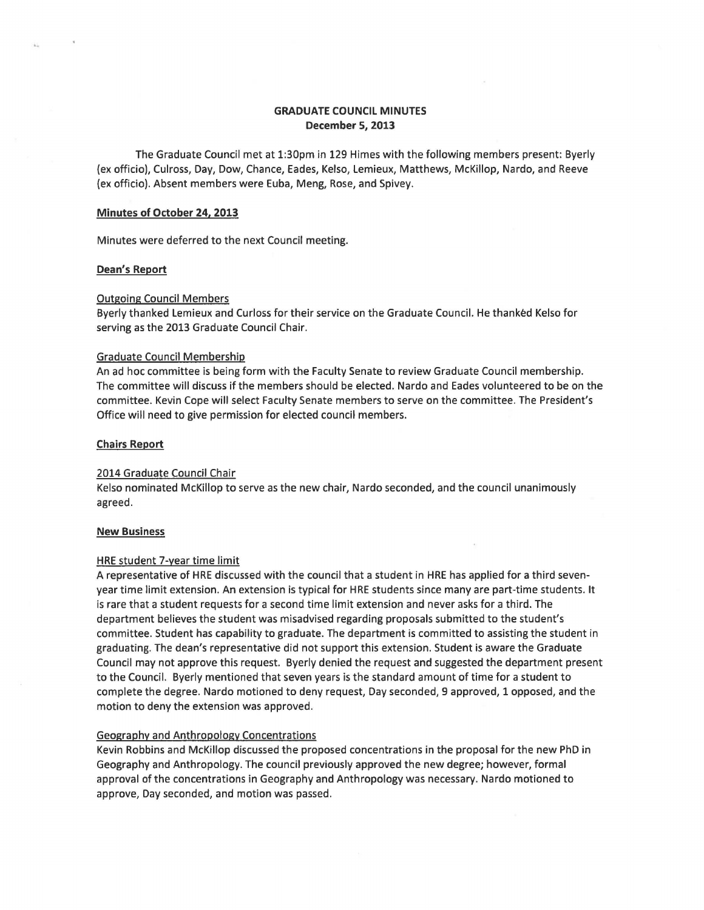# **GRADUATE COUNCIL MINUTES December 5, 2013**

The Graduate Council met at 1:30pm in 129 Himes with the following members present: Byerly (ex officio), Culross, Day, Dow, Chance, Eades, Kelso, Lemieux, Matthews, McKillop, Nardo, and Reeve (ex officio). Absent members were Euba, Meng, Rose, and Spivey.

#### **Minutes of October 24, 2013**

Minutes were deferred to the next Council meeting.

#### **Dean's Report**

# Outgoing Council Members

Byerly thanked Lemieux and Curloss for their service on the Graduate Council. He thanked Kelso for serving as the 2013 Graduate Council Chair.

#### Graduate Council Membership

An ad hoc committee is being form with the Faculty Senate to review Graduate Council membership. The committee will discuss if the members should be elected. Nardo and Eades volunteered to be on the committee. Kevin Cope will select Faculty Senate members to serve on the committee. The President's Office will need to give permission for elected council members.

# **Chairs Report**

#### 2014 Graduate Council Chair

Kelso nominated McKillop to serve as the new chair, Nardo seconded, and the council unanimously agreed.

# **New Business**

#### HRE student 7-year time limit

A representative of HRE discussed with the council that a student in HRE has applied for a third sevenyear time limit extension. An extension is typical for HRE students since many are part-time students. It is rare that a student requests for a second time limit extension and never asks for a third. The department believes the student was misadvised regarding proposals submitted to the student's committee. Student has capability to graduate. The department is committed to assisting the student in graduating. The dean's representative did not support this extension. Student is aware the Graduate Council may not approve this request. Byerly denied the request and suggested the department present to the Council. Byerly mentioned that seven years is the standard amount of time for a student to complete the degree. Nardo motioned to deny request, Day seconded, 9 approved, 1 opposed, and the motion to deny the extension was approved.

# Geography and Anthropology Concentrations

Kevin Robbins and McKillop discussed the proposed concentrations in the proposal for the new PhD in Geography and Anthropology. The council previously approved the new degree; however, formal approval of the concentrations in Geography and Anthropology was necessary. Nardo motioned to approve, Day seconded, and motion was passed.